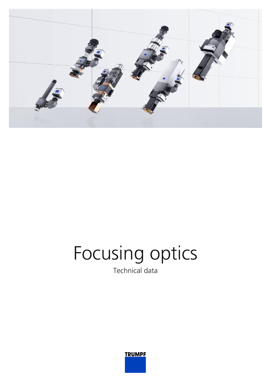

## Focusing optics Technical data

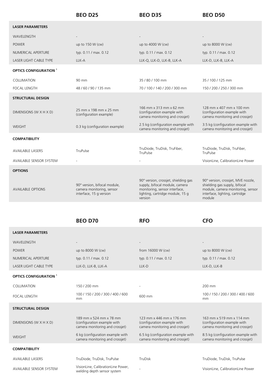|                               | <b>BEO D25</b>                                                                       | <b>BEO D35</b>                                                                                                                                         | <b>BEO D50</b>                                                                                                                                       |
|-------------------------------|--------------------------------------------------------------------------------------|--------------------------------------------------------------------------------------------------------------------------------------------------------|------------------------------------------------------------------------------------------------------------------------------------------------------|
| <b>LASER PARAMETERS</b>       |                                                                                      |                                                                                                                                                        |                                                                                                                                                      |
| WAVELENGTH                    |                                                                                      |                                                                                                                                                        |                                                                                                                                                      |
| <b>POWER</b>                  | up to 150 W (cw)                                                                     | up to 4000 W (cw)                                                                                                                                      | up to 8000 W (cw)                                                                                                                                    |
| NUMERICAL APERTURE            | typ. 0.11 / max. 0.12                                                                | typ. 0.11 / max. 0.12                                                                                                                                  | typ. 0.11 / max. 0.12                                                                                                                                |
| LASER LIGHT CABLE TYPE        | LLK-A                                                                                | LLK-Q, LLK-D, LLK-B, LLK-A                                                                                                                             | LLK-D, LLK-B, LLK-A                                                                                                                                  |
| <b>OPTICS CONFIGURATION 1</b> |                                                                                      |                                                                                                                                                        |                                                                                                                                                      |
| COLLIMATION                   | 90 mm                                                                                | 35/80/100 mm                                                                                                                                           | 35/100/125 mm                                                                                                                                        |
| <b>FOCAL LENGTH</b>           | 48/60/90/135 mm                                                                      | 70 / 100 / 140 / 200 / 300 mm                                                                                                                          | 150 / 200 / 250 / 300 mm                                                                                                                             |
| <b>STRUCTURAL DESIGN</b>      |                                                                                      |                                                                                                                                                        |                                                                                                                                                      |
| DIMENSIONS (W X H X D)        | 25 mm x 198 mm x 25 mm<br>(configuration example)                                    | 166 mm x 313 mm x 62 mm<br>(configuration example with<br>camera monitoring and crossjet)                                                              | 128 mm x 407 mm x 100 mm<br>(configuration example with<br>camera monitoring and crossjet)                                                           |
| WEIGHT                        | 0.3 kg (configuration example)                                                       | 2.5 kg (configuration example with<br>camera monitoring and crossjet)                                                                                  | 3.5 kg (configuration example with<br>camera monitoring and crossjet)                                                                                |
| <b>COMPATIBILITY</b>          |                                                                                      |                                                                                                                                                        |                                                                                                                                                      |
| <b>AVAILABLE LASERS</b>       | TruPulse                                                                             | TruDiode, TruDisk, TruFiber,<br>TruPulse                                                                                                               | TruDiode, TruDisk, TruFiber,<br>TruPulse                                                                                                             |
| AVAILABLE SENSOR SYSTEM       |                                                                                      |                                                                                                                                                        | VisionLine, CalibrationLine Power                                                                                                                    |
| <b>OPTIONS</b>                |                                                                                      |                                                                                                                                                        |                                                                                                                                                      |
| <b>AVAILABLE OPTIONS</b>      | 90° version, bifocal module,<br>camera monitoring, sensor<br>interface, 15 g version | 90° version, crossjet, shielding gas<br>supply, bifocal module, camera<br>monitoring, sensor interface,<br>lighting, cartridge module, 15 g<br>version | 90° version, crossjet, MVE nozzle,<br>shielding gas supply, bifocal<br>module, camera monitoring, sensor<br>interface, lighting, cartridge<br>module |

**BEO D70 RFO CFO**

## **LASER PARAMETERS**

| <b>WAVFI FNGTH</b>            |                                                                                           |                                                                                            |                                                                                            |
|-------------------------------|-------------------------------------------------------------------------------------------|--------------------------------------------------------------------------------------------|--------------------------------------------------------------------------------------------|
| <b>POWER</b>                  | up to 8000 W (cw)                                                                         | from 16000 W (cw)                                                                          | up to 8000 W (cw)                                                                          |
| NUMERICAL APERTURE            | typ. 0.11 / max. 0.12                                                                     | typ. 0.11 / max. 0.12                                                                      | typ. 0.11 / max. 0.12                                                                      |
| <b>LASER LIGHT CABLE TYPE</b> | LLK-D, LLK-B, LLK-A                                                                       | LLK-D                                                                                      | LLK-D, LLK-B                                                                               |
| <b>OPTICS CONFIGURATION 1</b> |                                                                                           |                                                                                            |                                                                                            |
| COLLIMATION                   | 150 / 200 mm                                                                              |                                                                                            | 200 mm                                                                                     |
| <b>FOCAL LENGTH</b>           | 100 / 150 / 200 / 300 / 400 / 600<br>mm                                                   | 600 mm                                                                                     | 100 / 150 / 200 / 300 / 400 / 600<br>mm                                                    |
| <b>STRUCTURAL DESIGN</b>      |                                                                                           |                                                                                            |                                                                                            |
| DIMENSIONS (W X H X D)        | 189 mm x 524 mm x 78 mm<br>(configuration example with<br>camera monitoring and crossjet) | 123 mm x 446 mm x 176 mm<br>(configuration example with<br>camera monitoring and crossjet) | 163 mm x 519 mm x 114 mm<br>(configuration example with<br>camera monitoring and crossjet) |
| <b>WFIGHT</b>                 | 6 kg (configuration example with<br>camera monitoring and crossjet)                       | 6.5 kg (configuration example with<br>camera monitoring and crossjet)                      | 8.5 kg (configuration example with<br>camera monitoring and crossjet)                      |
| <b>COMPATIBILITY</b>          |                                                                                           |                                                                                            |                                                                                            |
| <b>AVAILABLE LASERS</b>       | TruDiode, TruDisk, TruPulse                                                               | TruDisk                                                                                    | TruDiode, TruDisk, TruPulse                                                                |
| AVAILABLE SENSOR SYSTEM       | VisionLine, CalibrationLine Power,<br>welding depth sensor system                         |                                                                                            | VisionLine, CalibrationLine Power                                                          |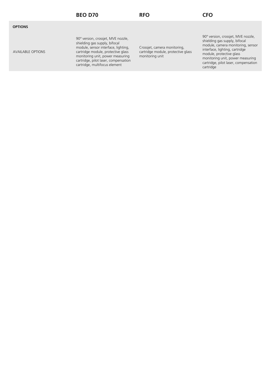| <b>OPTIONS</b> |                          |                                                                                                                                                                                                                                                               |                                                                                       |                                                                                                                                                                                                                                                                 |
|----------------|--------------------------|---------------------------------------------------------------------------------------------------------------------------------------------------------------------------------------------------------------------------------------------------------------|---------------------------------------------------------------------------------------|-----------------------------------------------------------------------------------------------------------------------------------------------------------------------------------------------------------------------------------------------------------------|
|                | <b>AVAILABLE OPTIONS</b> | 90° version, crossjet, MVE nozzle,<br>shielding gas supply, bifocal<br>module, sensor interface, lighting,<br>cartridge module, protective glass<br>monitoring unit, power measuring<br>cartridge, pilot laser, compensation<br>cartridge, multifocus element | Crossjet, camera monitoring,<br>cartridge module, protective glass<br>monitoring unit | 90° version, crossjet, MVE nozzle,<br>shielding gas supply, bifocal<br>module, camera monitoring, sensor<br>interface, lighting, cartridge<br>module, protective glass<br>monitoring unit, power measuring<br>cartridge, pilot laser, compensation<br>cartridge |